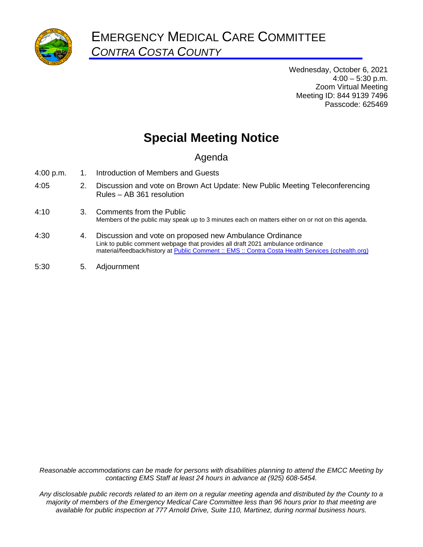

Wednesday, October 6, 2021  $4:00 - 5:30$  p.m. Zoom Virtual Meeting Meeting ID: 844 9139 7496 Passcode: 625469

# **Special Meeting Notice**

# Agenda

- 4:00 p.m. 1. Introduction of Members and Guests
- 4:05 2. Discussion and vote on Brown Act Update: New Public Meeting Teleconferencing Rules – AB 361 resolution
- 4:10 3. Comments from the Public Members of the public may speak up to 3 minutes each on matters either on or not on this agenda.
- 4:30 4. Discussion and vote on proposed new Ambulance Ordinance Link to public comment webpage that provides all draft 2021 ambulance ordinance material/feedback/history at **Public Comment** :: EMS :: Contra Costa Health Services (cchealth.org)
- 5:30 5. Adjournment

*Reasonable accommodations can be made for persons with disabilities planning to attend the EMCC Meeting by contacting EMS Staff at least 24 hours in advance at (925) 608-5454.*

*Any disclosable public records related to an item on a regular meeting agenda and distributed by the County to a majority of members of the Emergency Medical Care Committee less than 96 hours prior to that meeting are available for public inspection at 777 Arnold Drive, Suite 110, Martinez, during normal business hours.*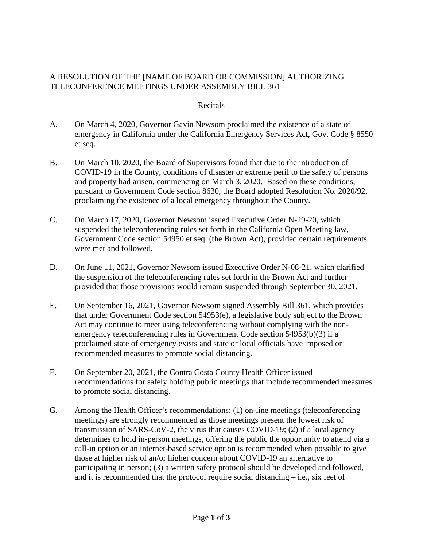### A RESOLUTION OF THE [NAME OF BOARD OR COMMISSION] AUTHORIZING TELECONFERENCE MEETINGS UNDER ASSEMBLY BILL 361

#### Recitals

- A. On March 4, 2020, Governor Gavin Newsom proclaimed the existence of a state of emergency in California under the California Emergency Services Act, Gov. Code § 8550 et seq.
- B. On March 10, 2020, the Board of Supervisors found that due to the introduction of COVID-19 in the County, conditions of disaster or extreme peril to the safety of persons and property had arisen, commencing on March 3, 2020. Based on these conditions, pursuant to Government Code section 8630, the Board adopted Resolution No. 2020/92, proclaiming the existence of a local emergency throughout the County.
- C. On March 17, 2020, Governor Newsom issued Executive Order N-29-20, which suspended the teleconferencing rules set forth in the California Open Meeting law, Government Code section 54950 et seq. (the Brown Act), provided certain requirements were met and followed.
- D. On June 11, 2021, Governor Newsom issued Executive Order N-08-21, which clarified the suspension of the teleconferencing rules set forth in the Brown Act and further provided that those provisions would remain suspended through September 30, 2021.
- E. On September 16, 2021, Governor Newsom signed Assembly Bill 361, which provides that under Government Code section 54953(e), a legislative body subject to the Brown Act may continue to meet using teleconferencing without complying with the nonemergency teleconferencing rules in Government Code section 54953(b)(3) if a proclaimed state of emergency exists and state or local officials have imposed or recommended measures to promote social distancing.
- F. On September 20, 2021, the Contra Costa County Health Officer issued recommendations for safely holding public meetings that include recommended measures to promote social distancing.
- G. Among the Health Officer's recommendations: (1) on-line meetings (teleconferencing meetings) are strongly recommended as those meetings present the lowest risk of transmission of SARS-CoV-2, the virus that causes COVID-19; (2) if a local agency determines to hold in-person meetings, offering the public the opportunity to attend via a call-in option or an internet-based service option is recommended when possible to give those at higher risk of an/or higher concern about COVID-19 an alternative to participating in person; (3) a written safety protocol should be developed and followed, and it is recommended that the protocol require social distancing – i.e., six feet of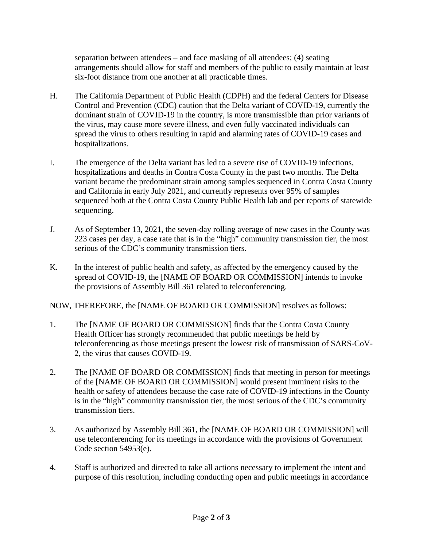separation between attendees – and face masking of all attendees; (4) seating arrangements should allow for staff and members of the public to easily maintain at least six-foot distance from one another at all practicable times.

- H. The California Department of Public Health (CDPH) and the federal Centers for Disease Control and Prevention (CDC) caution that the Delta variant of COVID-19, currently the dominant strain of COVID-19 in the country, is more transmissible than prior variants of the virus, may cause more severe illness, and even fully vaccinated individuals can spread the virus to others resulting in rapid and alarming rates of COVID-19 cases and hospitalizations.
- I. The emergence of the Delta variant has led to a severe rise of COVID-19 infections, hospitalizations and deaths in Contra Costa County in the past two months. The Delta variant became the predominant strain among samples sequenced in Contra Costa County and California in early July 2021, and currently represents over 95% of samples sequenced both at the Contra Costa County Public Health lab and per reports of statewide sequencing.
- J. As of September 13, 2021, the seven-day rolling average of new cases in the County was 223 cases per day, a case rate that is in the "high" community transmission tier, the most serious of the CDC's community transmission tiers.
- K. In the interest of public health and safety, as affected by the emergency caused by the spread of COVID-19, the [NAME OF BOARD OR COMMISSION] intends to invoke the provisions of Assembly Bill 361 related to teleconferencing.

NOW, THEREFORE, the [NAME OF BOARD OR COMMISSION] resolves as follows:

- 1. The [NAME OF BOARD OR COMMISSION] finds that the Contra Costa County Health Officer has strongly recommended that public meetings be held by teleconferencing as those meetings present the lowest risk of transmission of SARS-CoV-2, the virus that causes COVID-19.
- 2. The [NAME OF BOARD OR COMMISSION] finds that meeting in person for meetings of the [NAME OF BOARD OR COMMISSION] would present imminent risks to the health or safety of attendees because the case rate of COVID-19 infections in the County is in the "high" community transmission tier, the most serious of the CDC's community transmission tiers.
- 3. As authorized by Assembly Bill 361, the [NAME OF BOARD OR COMMISSION] will use teleconferencing for its meetings in accordance with the provisions of Government Code section 54953(e).
- 4. Staff is authorized and directed to take all actions necessary to implement the intent and purpose of this resolution, including conducting open and public meetings in accordance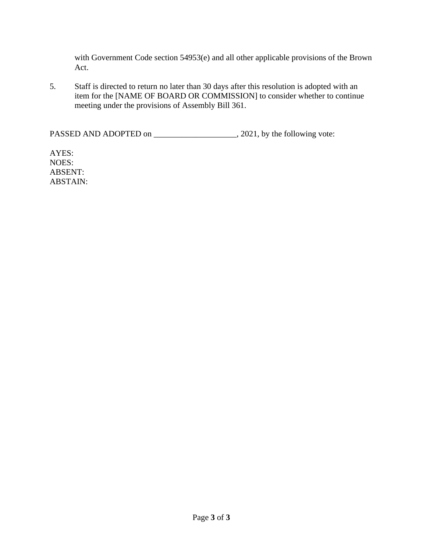with Government Code section 54953(e) and all other applicable provisions of the Brown Act.

5. Staff is directed to return no later than 30 days after this resolution is adopted with an item for the [NAME OF BOARD OR COMMISSION] to consider whether to continue meeting under the provisions of Assembly Bill 361.

PASSED AND ADOPTED on \_\_\_\_\_\_\_\_\_\_\_\_\_\_\_\_\_\_\_\_\_, 2021, by the following vote:

AYES: NOES: ABSENT: ABSTAIN: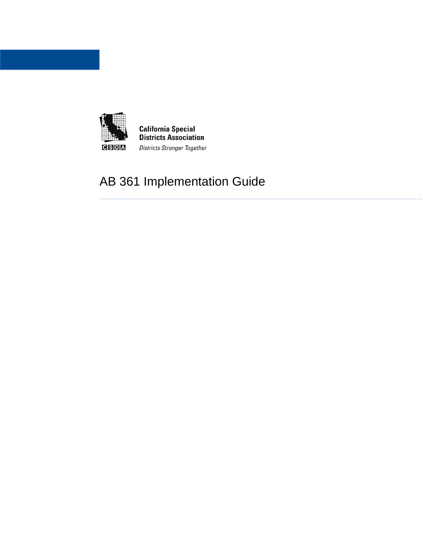

# AB 361 Implementation Guide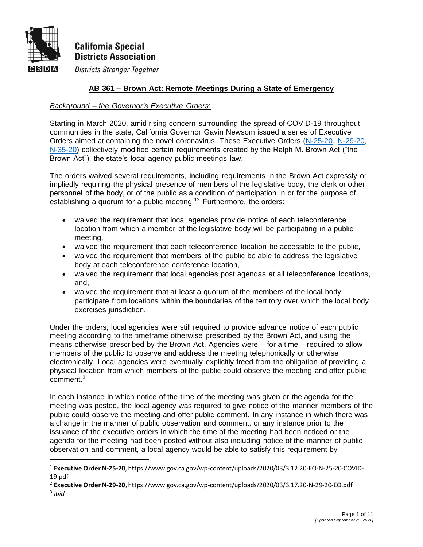

**Districts Stronger Together** ICISIDIAI

### **AB 361 – Brown Act: Remote Meetings During a State of Emergency**

### *Background – the Governor's Executive Orders*:

Starting in March 2020, amid rising concern surrounding the spread of COVID-19 throughout communities in the state, California Governor Gavin Newsom issued a series of Executive Orders aimed at containing the novel coronavirus. These Executive Orders [\(N-25-20,](https://www.gov.ca.gov/wp-content/uploads/2020/03/3.12.20-EO-N-25-20-COVID-19.pdf) [N-29-20,](https://www.gov.ca.gov/wp-content/uploads/2020/03/3.17.20-N-29-20-EO.pdf) [N-35-20\)](https://www.gov.ca.gov/wp-content/uploads/2020/03/3.21.20-EO-N-35-20-text.pdf) collectively modified certain requirements created by the Ralph M. Brown Act ("the Brown Act"), the state's local agency public meetings law.

The orders waived several requirements, including requirements in the Brown Act expressly or impliedly requiring the physical presence of members of the legislative body, the clerk or other personnel of the body, or of the public as a condition of participation in or for the purpose of establishing a quorum for a public meeting.<sup>12</sup> Furthermore, the orders:

- waived the requirement that local agencies provide notice of each teleconference location from which a member of the legislative body will be participating in a public meeting,
- waived the requirement that each teleconference location be accessible to the public,
- waived the requirement that members of the public be able to address the legislative body at each teleconference conference location,
- waived the requirement that local agencies post agendas at all teleconference locations, and,
- waived the requirement that at least a quorum of the members of the local body participate from locations within the boundaries of the territory over which the local body exercises jurisdiction.

Under the orders, local agencies were still required to provide advance notice of each public meeting according to the timeframe otherwise prescribed by the Brown Act, and using the means otherwise prescribed by the Brown Act. Agencies were – for a time – required to allow members of the public to observe and address the meeting telephonically or otherwise electronically. Local agencies were eventually explicitly freed from the obligation of providing a physical location from which members of the public could observe the meeting and offer public comment.<sup>3</sup>

In each instance in which notice of the time of the meeting was given or the agenda for the meeting was posted, the local agency was required to give notice of the manner members of the public could observe the meeting and offer public comment. In any instance in which there was a change in the manner of public observation and comment, or any instance prior to the issuance of the executive orders in which the time of the meeting had been noticed or the agenda for the meeting had been posted without also including notice of the manner of public observation and comment, a local agency would be able to satisfy this requirement by

<sup>1</sup> **Executive Order N-25-20**, https://www.gov.ca.gov/wp-content/uploads/2020/03/3.12.20-EO-N-25-20-COVID-19.pdf

<sup>2</sup> **Executive Order N-29-20**, https://www.gov.ca.gov/wp-content/uploads/2020/03/3.17.20-N-29-20-EO.pdf 3 *Ibid*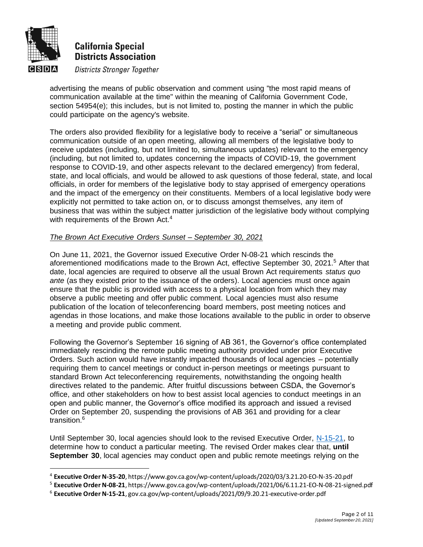

#### **Districts Stronger Together CISIDIA**

advertising the means of public observation and comment using "the most rapid means of communication available at the time" within the meaning of California Government Code, section 54954(e); this includes, but is not limited to, posting the manner in which the public could participate on the agency's website.

The orders also provided flexibility for a legislative body to receive a "serial" or simultaneous communication outside of an open meeting, allowing all members of the legislative body to receive updates (including, but not limited to, simultaneous updates) relevant to the emergency (including, but not limited to, updates concerning the impacts of COVID-19, the government response to COVID-19, and other aspects relevant to the declared emergency) from federal, state, and local officials, and would be allowed to ask questions of those federal, state, and local officials, in order for members of the legislative body to stay apprised of emergency operations and the impact of the emergency on their constituents. Members of a local legislative body were explicitly not permitted to take action on, or to discuss amongst themselves, any item of business that was within the subject matter jurisdiction of the legislative body without complying with requirements of the Brown Act.<sup>4</sup>

### *The Brown Act Executive Orders Sunset – September 30, 2021*

On June 11, 2021, the Governor issued Executive Order N-08-21 which rescinds the aforementioned modifications made to the Brown Act, effective September 30, 2021.<sup>5</sup> After that date, local agencies are required to observe all the usual Brown Act requirements *status quo ante* (as they existed prior to the issuance of the orders). Local agencies must once again ensure that the public is provided with access to a physical location from which they may observe a public meeting and offer public comment. Local agencies must also resume publication of the location of teleconferencing board members, post meeting notices and agendas in those locations, and make those locations available to the public in order to observe a meeting and provide public comment.

Following the Governor's September 16 signing of AB 361, the Governor's office contemplated immediately rescinding the remote public meeting authority provided under prior Executive Orders. Such action would have instantly impacted thousands of local agencies – potentially requiring them to cancel meetings or conduct in-person meetings or meetings pursuant to standard Brown Act teleconferencing requirements, notwithstanding the ongoing health directives related to the pandemic. After fruitful discussions between CSDA, the Governor's office, and other stakeholders on how to best assist local agencies to conduct meetings in an open and public manner, the Governor's office modified its approach and issued a revised Order on September 20, suspending the provisions of AB 361 and providing for a clear transition.<sup>6</sup>

Until September 30, local agencies should look to the revised Executive Order, [N-15-21,](file:///C:/Users/ealam/Downloads/gov.ca.gov/wp-content/uploads/2021/09/9.20.21-executive-order.pdf) to determine how to conduct a particular meeting. The revised Order makes clear that, **until September 30**, local agencies may conduct open and public remote meetings relying on the

<sup>4</sup> **Executive Order N-35-20**, https://www.gov.ca.gov/wp-content/uploads/2020/03/3.21.20-EO-N-35-20.pdf

<sup>5</sup> **Executive Order N-08-21**, https://www.gov.ca.gov/wp-content/uploads/2021/06/6.11.21-EO-N-08-21-signed.pdf

<sup>6</sup> **Executive Order N-15-21**, gov.ca.gov/wp-content/uploads/2021/09/9.20.21-executive-order.pdf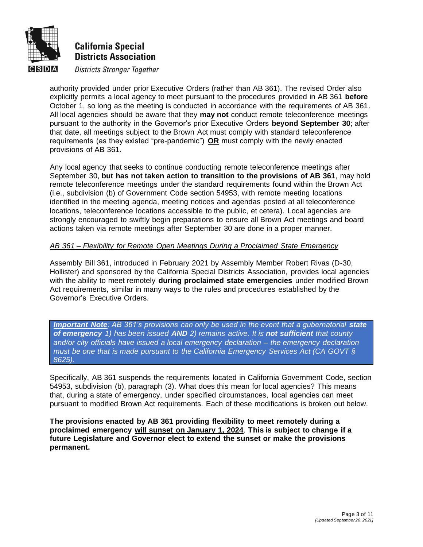

#### **Districts Stronger Together CISIDIA**

authority provided under prior Executive Orders (rather than AB 361). The revised Order also explicitly permits a local agency to meet pursuant to the procedures provided in AB 361 **before** October 1, so long as the meeting is conducted in accordance with the requirements of AB 361. All local agencies should be aware that they **may not** conduct remote teleconference meetings pursuant to the authority in the Governor's prior Executive Orders **beyond September 30**; after that date, all meetings subject to the Brown Act must comply with standard teleconference requirements (as they existed "pre-pandemic") **OR** must comply with the newly enacted provisions of AB 361.

Any local agency that seeks to continue conducting remote teleconference meetings after September 30, **but has not taken action to transition to the provisions of AB 361**, may hold remote teleconference meetings under the standard requirements found within the Brown Act (i.e., subdivision (b) of Government Code section 54953, with remote meeting locations identified in the meeting agenda, meeting notices and agendas posted at all teleconference locations, teleconference locations accessible to the public, et cetera). Local agencies are strongly encouraged to swiftly begin preparations to ensure all Brown Act meetings and board actions taken via remote meetings after September 30 are done in a proper manner.

#### *AB 361 – Flexibility for Remote Open Meetings During a Proclaimed State Emergency*

Assembly Bill 361, introduced in February 2021 by Assembly Member Robert Rivas (D-30, Hollister) and sponsored by the California Special Districts Association, provides local agencies with the ability to meet remotely **during proclaimed state emergencies** under modified Brown Act requirements, similar in many ways to the rules and procedures established by the Governor's Executive Orders.

*Important Note: AB 361's provisions can only be used in the event that a gubernatorial state of emergency 1) has been issued AND 2) remains active. It is not sufficient that county and/or city officials have issued a local emergency declaration – the emergency declaration must be one that is made pursuant to the California Emergency Services Act (CA GOVT § 8625).*

Specifically, AB 361 suspends the requirements located in California Government Code, section 54953, subdivision (b), paragraph (3). What does this mean for local agencies? This means that, during a state of emergency, under specified circumstances, local agencies can meet pursuant to modified Brown Act requirements. Each of these modifications is broken out below.

**The provisions enacted by AB 361 providing flexibility to meet remotely during a proclaimed emergency will sunset on January 1, 2024**. **This is subject to change if a future Legislature and Governor elect to extend the sunset or make the provisions permanent.**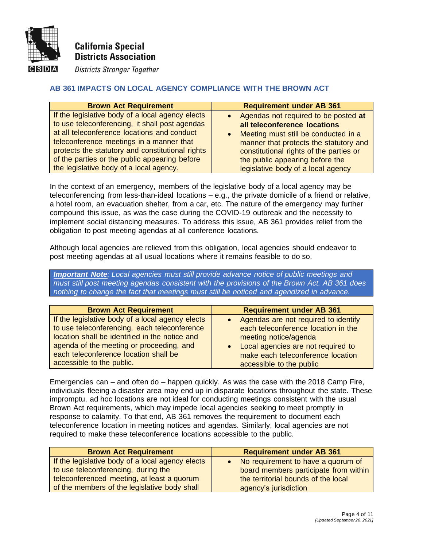

**Districts Stronger Together** ICISIDIA

### **AB 361 IMPACTS ON LOCAL AGENCY COMPLIANCE WITH THE BROWN ACT**

| <b>Brown Act Requirement</b>                     | <b>Requirement under AB 361</b>                   |
|--------------------------------------------------|---------------------------------------------------|
| If the legislative body of a local agency elects | • Agendas not required to be posted at            |
| to use teleconferencing, it shall post agendas   | all teleconference locations                      |
| at all teleconference locations and conduct      | Meeting must still be conducted in a<br>$\bullet$ |
| teleconference meetings in a manner that         | manner that protects the statutory and            |
| protects the statutory and constitutional rights | constitutional rights of the parties or           |
| of the parties or the public appearing before    | the public appearing before the                   |
| the legislative body of a local agency.          | legislative body of a local agency                |

In the context of an emergency, members of the legislative body of a local agency may be teleconferencing from less-than-ideal locations – e.g., the private domicile of a friend or relative, a hotel room, an evacuation shelter, from a car, etc. The nature of the emergency may further compound this issue, as was the case during the COVID-19 outbreak and the necessity to implement social distancing measures. To address this issue, AB 361 provides relief from the obligation to post meeting agendas at all conference locations.

Although local agencies are relieved from this obligation, local agencies should endeavor to post meeting agendas at all usual locations where it remains feasible to do so.

*Important Note: Local agencies must still provide advance notice of public meetings and must still post meeting agendas consistent with the provisions of the Brown Act. AB 361 does nothing to change the fact that meetings must still be noticed and agendized in advance.*

| <b>Brown Act Requirement</b>                     | <b>Requirement under AB 361</b>                 |
|--------------------------------------------------|-------------------------------------------------|
| If the legislative body of a local agency elects | • Agendas are not required to identify          |
| to use teleconferencing, each teleconference     | each teleconference location in the             |
| location shall be identified in the notice and   | meeting notice/agenda                           |
| agenda of the meeting or proceeding, and         | Local agencies are not required to<br>$\bullet$ |
| each teleconference location shall be            | make each teleconference location               |
| accessible to the public.                        | accessible to the public                        |

Emergencies can – and often do – happen quickly. As was the case with the 2018 Camp Fire, individuals fleeing a disaster area may end up in disparate locations throughout the state. These impromptu, ad hoc locations are not ideal for conducting meetings consistent with the usual Brown Act requirements, which may impede local agencies seeking to meet promptly in response to calamity. To that end, AB 361 removes the requirement to document each teleconference location in meeting notices and agendas. Similarly, local agencies are not required to make these teleconference locations accessible to the public.

| <b>Brown Act Requirement</b>                     | <b>Requirement under AB 361</b>       |
|--------------------------------------------------|---------------------------------------|
| If the legislative body of a local agency elects | • No requirement to have a quorum of  |
| to use teleconferencing, during the              | board members participate from within |
| teleconferenced meeting, at least a quorum       | the territorial bounds of the local   |
| of the members of the legislative body shall     | agency's jurisdiction                 |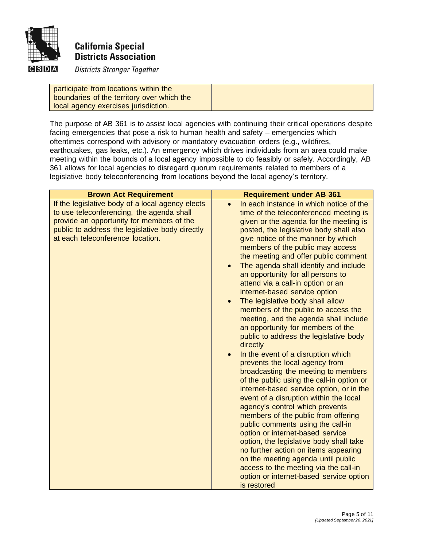

#### **CISDIA Districts Stronger Together**

participate from locations within the boundaries of the territory over which the local agency exercises jurisdiction.

The purpose of AB 361 is to assist local agencies with continuing their critical operations despite facing emergencies that pose a risk to human health and safety – emergencies which oftentimes correspond with advisory or mandatory evacuation orders (e.g., wildfires, earthquakes, gas leaks, etc.). An emergency which drives individuals from an area could make meeting within the bounds of a local agency impossible to do feasibly or safely. Accordingly, AB 361 allows for local agencies to disregard quorum requirements related to members of a legislative body teleconferencing from locations beyond the local agency's territory.

| <b>Brown Act Requirement</b>                                                                                                                                                                                                      | <b>Requirement under AB 361</b>                                                                                                                                                                                                                                                                                                                                                                                                                                                                                                                                                                                                                                                                                                                                                                                                                                                                                                                                                                                                                                                                                                                                                                                                                                                                           |
|-----------------------------------------------------------------------------------------------------------------------------------------------------------------------------------------------------------------------------------|-----------------------------------------------------------------------------------------------------------------------------------------------------------------------------------------------------------------------------------------------------------------------------------------------------------------------------------------------------------------------------------------------------------------------------------------------------------------------------------------------------------------------------------------------------------------------------------------------------------------------------------------------------------------------------------------------------------------------------------------------------------------------------------------------------------------------------------------------------------------------------------------------------------------------------------------------------------------------------------------------------------------------------------------------------------------------------------------------------------------------------------------------------------------------------------------------------------------------------------------------------------------------------------------------------------|
| If the legislative body of a local agency elects<br>to use teleconferencing, the agenda shall<br>provide an opportunity for members of the<br>public to address the legislative body directly<br>at each teleconference location. | In each instance in which notice of the<br>time of the teleconferenced meeting is<br>given or the agenda for the meeting is<br>posted, the legislative body shall also<br>give notice of the manner by which<br>members of the public may access<br>the meeting and offer public comment<br>The agenda shall identify and include<br>an opportunity for all persons to<br>attend via a call-in option or an<br>internet-based service option<br>The legislative body shall allow<br>$\bullet$<br>members of the public to access the<br>meeting, and the agenda shall include<br>an opportunity for members of the<br>public to address the legislative body<br>directly<br>In the event of a disruption which<br>prevents the local agency from<br>broadcasting the meeting to members<br>of the public using the call-in option or<br>internet-based service option, or in the<br>event of a disruption within the local<br>agency's control which prevents<br>members of the public from offering<br>public comments using the call-in<br>option or internet-based service<br>option, the legislative body shall take<br>no further action on items appearing<br>on the meeting agenda until public<br>access to the meeting via the call-in<br>option or internet-based service option<br>is restored |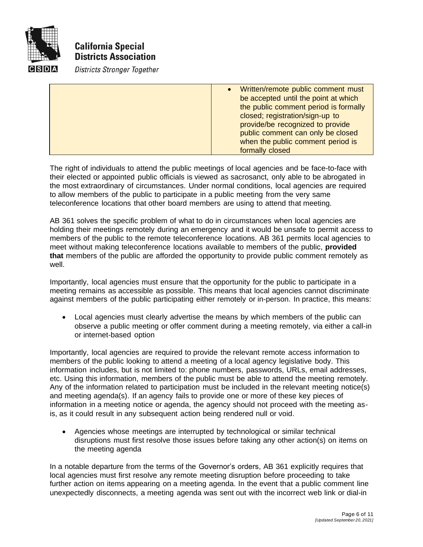

**Districts Stronger Together** 

| Written/remote public comment must<br>$\bullet$ |
|-------------------------------------------------|
| be accepted until the point at which            |
| the public comment period is formally           |
| closed; registration/sign-up to                 |
| provide/be recognized to provide                |
| public comment can only be closed               |
| when the public comment period is               |
| formally closed                                 |

The right of individuals to attend the public meetings of local agencies and be face-to-face with their elected or appointed public officials is viewed as sacrosanct, only able to be abrogated in the most extraordinary of circumstances. Under normal conditions, local agencies are required to allow members of the public to participate in a public meeting from the very same teleconference locations that other board members are using to attend that meeting.

AB 361 solves the specific problem of what to do in circumstances when local agencies are holding their meetings remotely during an emergency and it would be unsafe to permit access to members of the public to the remote teleconference locations. AB 361 permits local agencies to meet without making teleconference locations available to members of the public, **provided that** members of the public are afforded the opportunity to provide public comment remotely as well.

Importantly, local agencies must ensure that the opportunity for the public to participate in a meeting remains as accessible as possible. This means that local agencies cannot discriminate against members of the public participating either remotely or in-person. In practice, this means:

• Local agencies must clearly advertise the means by which members of the public can observe a public meeting or offer comment during a meeting remotely, via either a call-in or internet-based option

Importantly, local agencies are required to provide the relevant remote access information to members of the public looking to attend a meeting of a local agency legislative body. This information includes, but is not limited to: phone numbers, passwords, URLs, email addresses, etc. Using this information, members of the public must be able to attend the meeting remotely. Any of the information related to participation must be included in the relevant meeting notice(s) and meeting agenda(s). If an agency fails to provide one or more of these key pieces of information in a meeting notice or agenda, the agency should not proceed with the meeting asis, as it could result in any subsequent action being rendered null or void.

• Agencies whose meetings are interrupted by technological or similar technical disruptions must first resolve those issues before taking any other action(s) on items on the meeting agenda

In a notable departure from the terms of the Governor's orders, AB 361 explicitly requires that local agencies must first resolve any remote meeting disruption before proceeding to take further action on items appearing on a meeting agenda. In the event that a public comment line unexpectedly disconnects, a meeting agenda was sent out with the incorrect web link or dial-in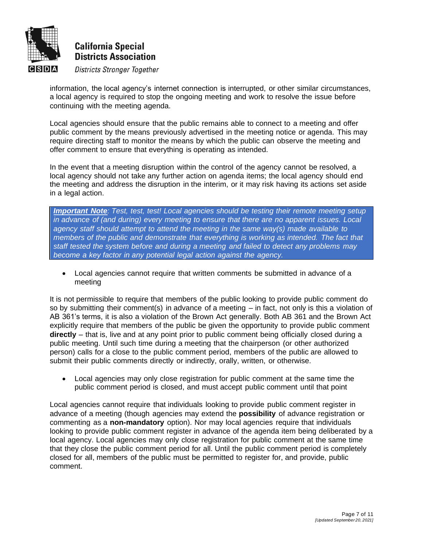

#### **Districts Stronger Together CISIDIA**

information, the local agency's internet connection is interrupted, or other similar circumstances, a local agency is required to stop the ongoing meeting and work to resolve the issue before continuing with the meeting agenda.

Local agencies should ensure that the public remains able to connect to a meeting and offer public comment by the means previously advertised in the meeting notice or agenda. This may require directing staff to monitor the means by which the public can observe the meeting and offer comment to ensure that everything is operating as intended.

In the event that a meeting disruption within the control of the agency cannot be resolved, a local agency should not take any further action on agenda items; the local agency should end the meeting and address the disruption in the interim, or it may risk having its actions set aside in a legal action.

*Important Note: Test, test, test! Local agencies should be testing their remote meeting setup in advance of (and during) every meeting to ensure that there are no apparent issues. Local agency staff should attempt to attend the meeting in the same way(s) made available to members of the public and demonstrate that everything is working as intended. The fact that staff tested the system before and during a meeting and failed to detect any problems may become a key factor in any potential legal action against the agency.*

• Local agencies cannot require that written comments be submitted in advance of a meeting

It is not permissible to require that members of the public looking to provide public comment do so by submitting their comment(s) in advance of a meeting – in fact, not only is this a violation of AB 361's terms, it is also a violation of the Brown Act generally. Both AB 361 and the Brown Act explicitly require that members of the public be given the opportunity to provide public comment **directly** – that is, live and at any point prior to public comment being officially closed during a public meeting. Until such time during a meeting that the chairperson (or other authorized person) calls for a close to the public comment period, members of the public are allowed to submit their public comments directly or indirectly, orally, written, or otherwise.

• Local agencies may only close registration for public comment at the same time the public comment period is closed, and must accept public comment until that point

Local agencies cannot require that individuals looking to provide public comment register in advance of a meeting (though agencies may extend the **possibility** of advance registration or commenting as a **non-mandatory** option). Nor may local agencies require that individuals looking to provide public comment register in advance of the agenda item being deliberated by a local agency. Local agencies may only close registration for public comment at the same time that they close the public comment period for all. Until the public comment period is completely closed for all, members of the public must be permitted to register for, and provide, public comment.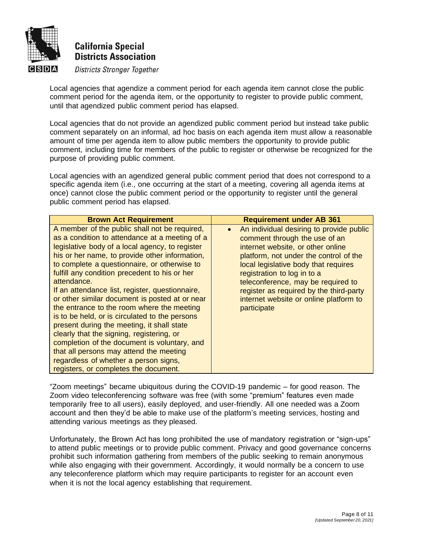

#### **Districts Stronger Together CISIDIA**

Local agencies that agendize a comment period for each agenda item cannot close the public comment period for the agenda item, or the opportunity to register to provide public comment, until that agendized public comment period has elapsed.

Local agencies that do not provide an agendized public comment period but instead take public comment separately on an informal, ad hoc basis on each agenda item must allow a reasonable amount of time per agenda item to allow public members the opportunity to provide public comment, including time for members of the public to register or otherwise be recognized for the purpose of providing public comment.

Local agencies with an agendized general public comment period that does not correspond to a specific agenda item (i.e., one occurring at the start of a meeting, covering all agenda items at once) cannot close the public comment period or the opportunity to register until the general public comment period has elapsed.

| <b>Brown Act Requirement</b>                                                                                                                                                                                                                                                                                                                                                                                                                                                                                                                                                                                                                                                                                                                                                                      | <b>Requirement under AB 361</b>                                                                                                                                                                                                                                                                                                                                                        |
|---------------------------------------------------------------------------------------------------------------------------------------------------------------------------------------------------------------------------------------------------------------------------------------------------------------------------------------------------------------------------------------------------------------------------------------------------------------------------------------------------------------------------------------------------------------------------------------------------------------------------------------------------------------------------------------------------------------------------------------------------------------------------------------------------|----------------------------------------------------------------------------------------------------------------------------------------------------------------------------------------------------------------------------------------------------------------------------------------------------------------------------------------------------------------------------------------|
| A member of the public shall not be required,<br>as a condition to attendance at a meeting of a<br>legislative body of a local agency, to register<br>his or her name, to provide other information,<br>to complete a questionnaire, or otherwise to<br>fulfill any condition precedent to his or her<br>attendance.<br>If an attendance list, register, questionnaire,<br>or other similar document is posted at or near<br>the entrance to the room where the meeting<br>is to be held, or is circulated to the persons<br>present during the meeting, it shall state<br>clearly that the signing, registering, or<br>completion of the document is voluntary, and<br>that all persons may attend the meeting<br>regardless of whether a person signs,<br>registers, or completes the document. | An individual desiring to provide public<br>$\bullet$<br>comment through the use of an<br>internet website, or other online<br>platform, not under the control of the<br>local legislative body that requires<br>registration to log in to a<br>teleconference, may be required to<br>register as required by the third-party<br>internet website or online platform to<br>participate |

"Zoom meetings" became ubiquitous during the COVID-19 pandemic – for good reason. The Zoom video teleconferencing software was free (with some "premium" features even made temporarily free to all users), easily deployed, and user-friendly. All one needed was a Zoom account and then they'd be able to make use of the platform's meeting services, hosting and attending various meetings as they pleased.

Unfortunately, the Brown Act has long prohibited the use of mandatory registration or "sign-ups" to attend public meetings or to provide public comment. Privacy and good governance concerns prohibit such information gathering from members of the public seeking to remain anonymous while also engaging with their government. Accordingly, it would normally be a concern to use any teleconference platform which may require participants to register for an account even when it is not the local agency establishing that requirement.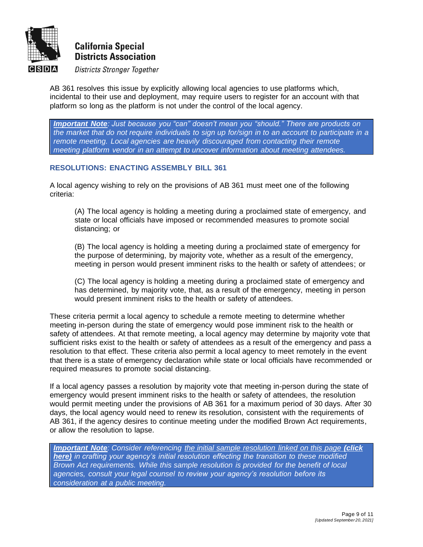

#### **Districts Stronger Together** ICISIDIA

AB 361 resolves this issue by explicitly allowing local agencies to use platforms which, incidental to their use and deployment, may require users to register for an account with that platform so long as the platform is not under the control of the local agency.

*Important Note: Just because you "can" doesn't mean you "should." There are products on the market that do not require individuals to sign up for/sign in to an account to participate in a remote meeting. Local agencies are heavily discouraged from contacting their remote meeting platform vendor in an attempt to uncover information about meeting attendees.*

### **RESOLUTIONS: ENACTING ASSEMBLY BILL 361**

A local agency wishing to rely on the provisions of AB 361 must meet one of the following criteria:

(A) The local agency is holding a meeting during a proclaimed state of emergency, and state or local officials have imposed or recommended measures to promote social distancing; or

(B) The local agency is holding a meeting during a proclaimed state of emergency for the purpose of determining, by majority vote, whether as a result of the emergency, meeting in person would present imminent risks to the health or safety of attendees; or

(C) The local agency is holding a meeting during a proclaimed state of emergency and has determined, by majority vote, that, as a result of the emergency, meeting in person would present imminent risks to the health or safety of attendees.

These criteria permit a local agency to schedule a remote meeting to determine whether meeting in-person during the state of emergency would pose imminent risk to the health or safety of attendees. At that remote meeting, a local agency may determine by majority vote that sufficient risks exist to the health or safety of attendees as a result of the emergency and pass a resolution to that effect. These criteria also permit a local agency to meet remotely in the event that there is a state of emergency declaration while state or local officials have recommended or required measures to promote social distancing.

If a local agency passes a resolution by majority vote that meeting in-person during the state of emergency would present imminent risks to the health or safety of attendees, the resolution would permit meeting under the provisions of AB 361 for a maximum period of 30 days. After 30 days, the local agency would need to renew its resolution, consistent with the requirements of AB 361, if the agency desires to continue meeting under the modified Brown Act requirements, or allow the resolution to lapse.

*Important Note: Consider referencing [the initial sample resolution linked on this page](https://www.csda.net/advocate/take-action/361-resources) (click [here\)](https://www.csda.net/advocate/take-action/361-resources) in crafting your agency's initial resolution effecting the transition to these modified Brown Act requirements. While this sample resolution is provided for the benefit of local agencies, consult your legal counsel to review your agency's resolution before its consideration at a public meeting.*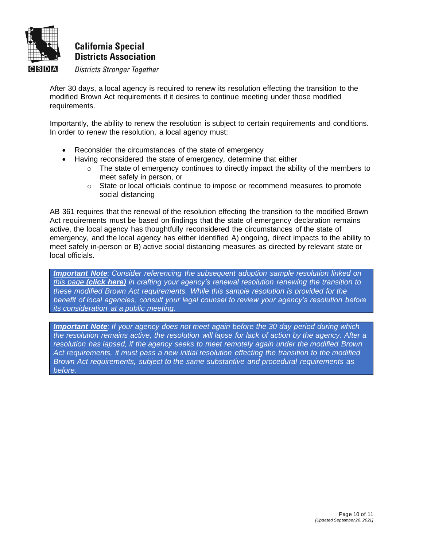

#### **Districts Stronger Together** ICISIDIAI

After 30 days, a local agency is required to renew its resolution effecting the transition to the modified Brown Act requirements if it desires to continue meeting under those modified requirements.

Importantly, the ability to renew the resolution is subject to certain requirements and conditions. In order to renew the resolution, a local agency must:

- Reconsider the circumstances of the state of emergency
- Having reconsidered the state of emergency, determine that either
	- $\circ$  The state of emergency continues to directly impact the ability of the members to meet safely in person, or
	- $\circ$  State or local officials continue to impose or recommend measures to promote social distancing

AB 361 requires that the renewal of the resolution effecting the transition to the modified Brown Act requirements must be based on findings that the state of emergency declaration remains active, the local agency has thoughtfully reconsidered the circumstances of the state of emergency, and the local agency has either identified A) ongoing, direct impacts to the ability to meet safely in-person or B) active social distancing measures as directed by relevant state or local officials.

*Important Note: Consider referencing [the subsequent adoption sample resolution linked on](https://www.csda.net/advocate/take-action/361-resources)  this page [\(click here\)](https://www.csda.net/advocate/take-action/361-resources) in crafting your agency's renewal resolution renewing the transition to these modified Brown Act requirements. While this sample resolution is provided for the benefit of local agencies, consult your legal counsel to review your agency's resolution before its consideration at a public meeting.*

*Important Note: If your agency does not meet again before the 30 day period during which the resolution remains active, the resolution will lapse for lack of action by the agency. After a resolution has lapsed, if the agency seeks to meet remotely again under the modified Brown Act requirements, it must pass a new initial resolution effecting the transition to the modified Brown Act requirements, subject to the same substantive and procedural requirements as before.*